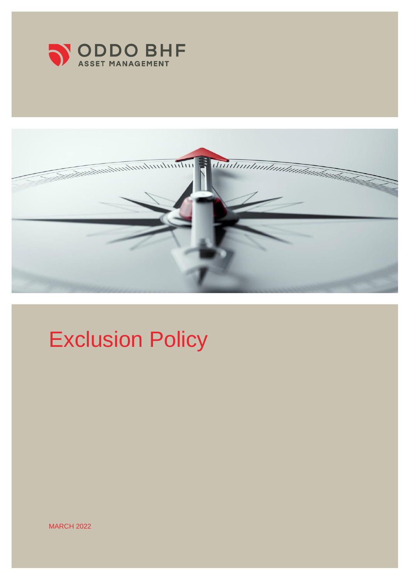



# Exclusion Policy

MARCH 2022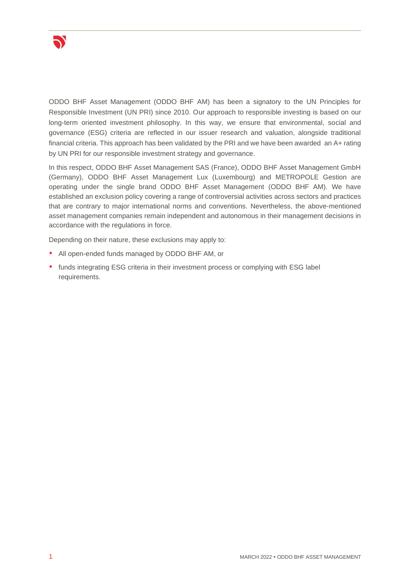

ODDO BHF Asset Management (ODDO BHF AM) has been a signatory to the UN Principles for Responsible Investment (UN PRI) since 2010. Our approach to responsible investing is based on our long-term oriented investment philosophy. In this way, we ensure that environmental, social and governance (ESG) criteria are reflected in our issuer research and valuation, alongside traditional financial criteria. This approach has been validated by the PRI and we have been awarded an A+ rating by UN PRI for our responsible investment strategy and governance.

In this respect, ODDO BHF Asset Management SAS (France), ODDO BHF Asset Management GmbH (Germany), ODDO BHF Asset Management Lux (Luxembourg) and METROPOLE Gestion are operating under the single brand ODDO BHF Asset Management (ODDO BHF AM). We have established an exclusion policy covering a range of controversial activities across sectors and practices that are contrary to major international norms and conventions. Nevertheless, the above-mentioned asset management companies remain independent and autonomous in their management decisions in accordance with the regulations in force.

Depending on their nature, these exclusions may apply to:

- All open-ended funds managed by ODDO BHF AM, or
- funds integrating ESG criteria in their investment process or complying with ESG label requirements.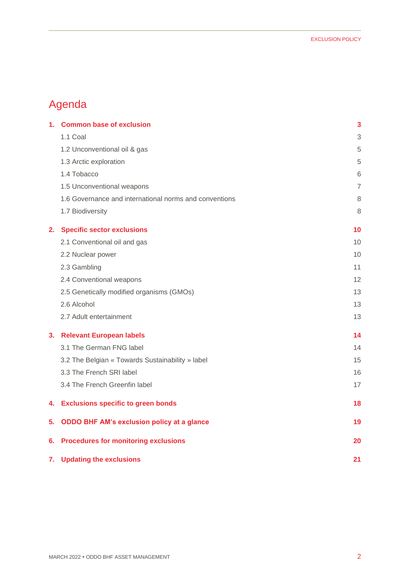# Agenda

| 1. | <b>Common base of exclusion</b>                        | 3              |
|----|--------------------------------------------------------|----------------|
|    | 1.1 Coal                                               | 3              |
|    | 1.2 Unconventional oil & gas                           | 5              |
|    | 1.3 Arctic exploration                                 | 5              |
|    | 1.4 Tobacco                                            | 6              |
|    | 1.5 Unconventional weapons                             | $\overline{7}$ |
|    | 1.6 Governance and international norms and conventions | 8              |
|    | 1.7 Biodiversity                                       | 8              |
|    | 2. Specific sector exclusions                          | 10             |
|    | 2.1 Conventional oil and gas                           | 10             |
|    | 2.2 Nuclear power                                      | 10             |
|    | 2.3 Gambling                                           | 11             |
|    | 2.4 Conventional weapons                               | 12             |
|    | 2.5 Genetically modified organisms (GMOs)              | 13             |
|    | 2.6 Alcohol                                            | 13             |
|    | 2.7 Adult entertainment                                | 13             |
| 3. | <b>Relevant European labels</b>                        | 14             |
|    | 3.1 The German FNG label                               | 14             |
|    | 3.2 The Belgian « Towards Sustainability » label       | 15             |
|    | 3.3 The French SRI label                               | 16             |
|    | 3.4 The French Greenfin label                          | 17             |
| 4. | <b>Exclusions specific to green bonds</b>              | 18             |
| 5. | <b>ODDO BHF AM's exclusion policy at a glance</b>      | 19             |
| 6. | <b>Procedures for monitoring exclusions</b>            | 20             |
|    | 7. Updating the exclusions                             | 21             |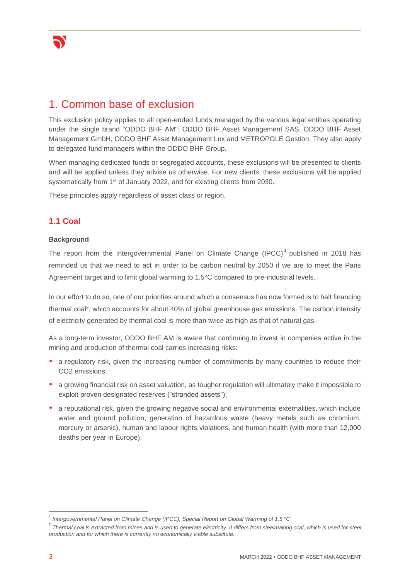

# 1. Common base of exclusion

This exclusion policy applies to all open-ended funds managed by the various legal entities operating under the single brand "ODDO BHF AM": ODDO BHF Asset Management SAS, ODDO BHF Asset Management GmbH, ODDO BHF Asset Management Lux and METROPOLE Gestion. They also apply to delegated fund managers within the ODDO BHF Group.

When managing dedicated funds or segregated accounts, these exclusions will be presented to clients and will be applied unless they advise us otherwise. For new clients, these exclusions will be applied systematically from 1<sup>st</sup> of January 2022, and for existing clients from 2030.

These principles apply regardless of asset class or region.

# **1.1 Coal**

#### **Background**

The report from the Intergovernmental Panel on Climate Change (IPCC)<sup>1</sup> published in 2018 has reminded us that we need to act in order to be carbon neutral by 2050 if we are to meet the Paris Agreement target and to limit global warming to 1.5°C compared to pre-industrial levels.

In our effort to do so, one of our priorities around which a consensus has now formed is to halt financing thermal coal<sup>2</sup>, which accounts for about 40% of global greenhouse gas emissions. The carbon intensity of electricity generated by thermal coal is more than twice as high as that of natural gas.

As a long-term investor, ODDO BHF AM is aware that continuing to invest in companies active in the mining and production of thermal coal carries increasing risks:

- a regulatory risk, given the increasing number of commitments by many countries to reduce their CO2 emissions;
- a growing financial risk on asset valuation, as tougher regulation will ultimately make it impossible to exploit proven designated reserves ("stranded assets");
- a reputational risk, given the growing negative social and environmental externalities, which include water and ground pollution, generation of hazardous waste (heavy metals such as chromium, mercury or arsenic), human and labour rights violations, and human health (with more than 12,000 deaths per year in Europe).

*<sup>1</sup> Intergovernmental Panel on Climate Change (IPCC), Special Report on Global Warming of 1.5 °C*

*<sup>2</sup> Thermal coal is extracted from mines and is used to generate electricity. It differs from steelmaking coal, which is used for steel production and for which there is currently no economically viable substitute.*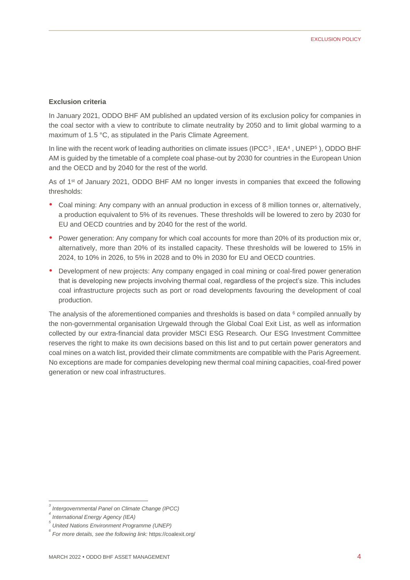#### **Exclusion criteria**

In January 2021, ODDO BHF AM published an updated version of its exclusion policy for companies in the coal sector with a view to contribute to climate neutrality by 2050 and to limit global warming to a maximum of 1.5 °C, as stipulated in the Paris Climate Agreement.

In line with the recent work of leading authorities on climate issues (IPCC $^3$ , IEA $^4$ , UNEP $^5$ ), ODDO BHF AM is guided by the timetable of a complete coal phase-out by 2030 for countries in the European Union and the OECD and by 2040 for the rest of the world.

As of 1<sup>st</sup> of January 2021, ODDO BHF AM no longer invests in companies that exceed the following thresholds:

- Coal mining: Any company with an annual production in excess of 8 million tonnes or, alternatively, a production equivalent to 5% of its revenues. These thresholds will be lowered to zero by 2030 for EU and OECD countries and by 2040 for the rest of the world.
- Power generation: Any company for which coal accounts for more than 20% of its production mix or, alternatively, more than 20% of its installed capacity. These thresholds will be lowered to 15% in 2024, to 10% in 2026, to 5% in 2028 and to 0% in 2030 for EU and OECD countries.
- Development of new projects: Any company engaged in coal mining or coal-fired power generation that is developing new projects involving thermal coal, regardless of the project's size. This includes coal infrastructure projects such as port or road developments favouring the development of coal production.

The analysis of the aforementioned companies and thresholds is based on data  $6$  compiled annually by the non-governmental organisation Urgewald through the Global Coal Exit List, as well as information collected by our extra-financial data provider MSCI ESG Research. Our ESG Investment Committee reserves the right to make its own decisions based on this list and to put certain power generators and coal mines on a watch list, provided their climate commitments are compatible with the Paris Agreement. No exceptions are made for companies developing new thermal coal mining capacities, coal-fired power generation or new coal infrastructures.

*<sup>3</sup> Intergovernmental Panel on Climate Change (IPCC)*

*<sup>4</sup> International Energy Agency (IEA)*

*<sup>5</sup> United Nations Environment Programme (UNEP)*

*<sup>6</sup> For more details, see the following link:* <https://coalexit.org/>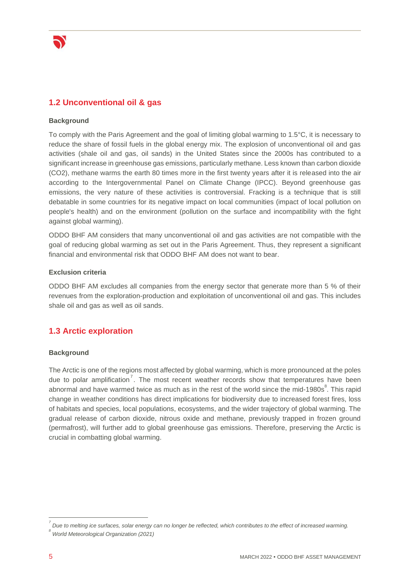

# **1.2 Unconventional oil & gas**

#### **Background**

To comply with the Paris Agreement and the goal of limiting global warming to 1.5°C, it is necessary to reduce the share of fossil fuels in the global energy mix. The explosion of unconventional oil and gas activities (shale oil and gas, oil sands) in the United States since the 2000s has contributed to a significant increase in greenhouse gas emissions, particularly methane. Less known than carbon dioxide (CO2), methane warms the earth 80 times more in the first twenty years after it is released into the air according to the Intergovernmental Panel on Climate Change (IPCC). Beyond greenhouse gas emissions, the very nature of these activities is controversial. Fracking is a technique that is still debatable in some countries for its negative impact on local communities (impact of local pollution on people's health) and on the environment (pollution on the surface and incompatibility with the fight against global warming).

ODDO BHF AM considers that many unconventional oil and gas activities are not compatible with the goal of reducing global warming as set out in the Paris Agreement. Thus, they represent a significant financial and environmental risk that ODDO BHF AM does not want to bear.

#### **Exclusion criteria**

ODDO BHF AM excludes all companies from the energy sector that generate more than 5 % of their revenues from the exploration-production and exploitation of unconventional oil and gas. This includes shale oil and gas as well as oil sands.

## **1.3 Arctic exploration**

#### **Background**

The Arctic is one of the regions most affected by global warming, which is more pronounced at the poles due to polar amplification<sup>7</sup>. The most recent weather records show that temperatures have been abnormal and have warmed twice as much as in the rest of the world since the mid-1980s $\degree$ . This rapid change in weather conditions has direct implications for biodiversity due to increased forest fires, loss of habitats and species, local populations, ecosystems, and the wider trajectory of global warming. The gradual release of carbon dioxide, nitrous oxide and methane, previously trapped in frozen ground (permafrost), will further add to global greenhouse gas emissions. Therefore, preserving the Arctic is crucial in combatting global warming.

*<sup>7</sup> Due to melting ice surfaces, solar energy can no longer be reflected, which contributes to the effect of increased warming.*

*<sup>8</sup> World Meteorological Organization (2021)*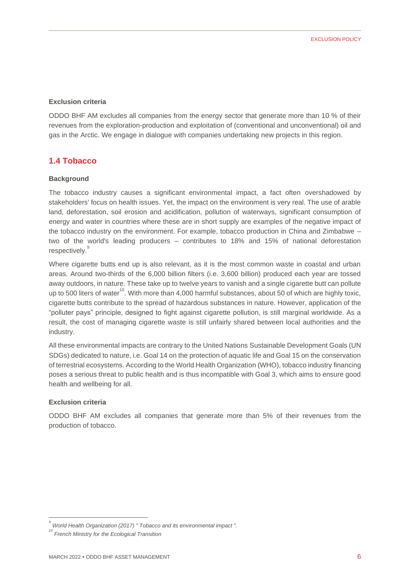#### **Exclusion criteria**

ODDO BHF AM excludes all companies from the energy sector that generate more than 10 % of their revenues from the exploration-production and exploitation of (conventional and unconventional) oil and gas in the Arctic. We engage in dialogue with companies undertaking new projects in this region.

### **1.4 Tobacco**

#### **Background**

The tobacco industry causes a significant environmental impact, a fact often overshadowed by stakeholders' focus on health issues. Yet, the impact on the environment is very real. The use of arable land, deforestation, soil erosion and acidification, pollution of waterways, significant consumption of energy and water in countries where these are in short supply are examples of the negative impact of the tobacco industry on the environment. For example, tobacco production in China and Zimbabwe – two of the world's leading producers – contributes to 18% and 15% of national deforestation respectively.<sup>9</sup>

Where cigarette butts end up is also relevant, as it is the most common waste in coastal and urban areas. Around two-thirds of the 6,000 billion filters (i.e. 3,600 billion) produced each year are tossed away outdoors, in nature. These take up to twelve years to vanish and a single cigarette butt can pollute up to 500 liters of water<sup>10</sup>. With more than 4,000 harmful substances, about 50 of which are highly toxic, cigarette butts contribute to the spread of hazardous substances in nature. However, application of the "polluter pays" principle, designed to fight against cigarette pollution, is still marginal worldwide. As a result, the cost of managing cigarette waste is still unfairly shared between local authorities and the industry.

All these environmental impacts are contrary to the United Nations Sustainable Development Goals (UN SDGs) dedicated to nature, i.e. Goal 14 on the protection of aquatic life and Goal 15 on the conservation of terrestrial ecosystems. According to the World Health Organization (WHO), tobacco industry financing poses a serious threat to public health and is thus incompatible with Goal 3, which aims to ensure good health and wellbeing for all.

#### **Exclusion criteria**

ODDO BHF AM excludes all companies that generate more than 5% of their revenues from the production of tobacco.

*<sup>9</sup> World Health Organization (2017) " Tobacco and its environmental impact ".*

*<sup>10</sup> French Ministry for the Ecological Transition*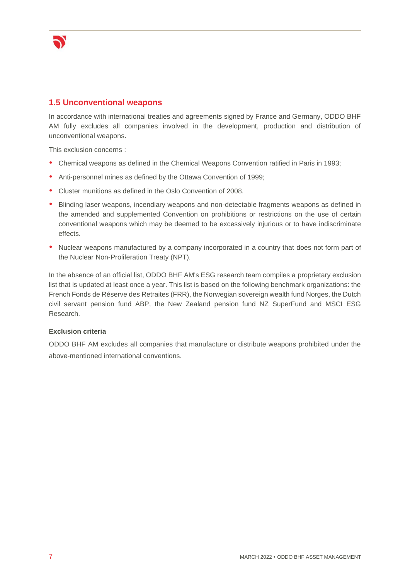

# **1.5 Unconventional weapons**

In accordance with international treaties and agreements signed by France and Germany, ODDO BHF AM fully excludes all companies involved in the development, production and distribution of unconventional weapons.

This exclusion concerns :

- Chemical weapons as defined in the Chemical Weapons Convention ratified in Paris in 1993;
- Anti-personnel mines as defined by the Ottawa Convention of 1999;
- Cluster munitions as defined in the Oslo Convention of 2008.
- Blinding laser weapons, incendiary weapons and non-detectable fragments weapons as defined in the amended and supplemented Convention on prohibitions or restrictions on the use of certain conventional weapons which may be deemed to be excessively injurious or to have indiscriminate effects.
- Nuclear weapons manufactured by a company incorporated in a country that does not form part of the Nuclear Non-Proliferation Treaty (NPT).

In the absence of an official list, ODDO BHF AM's ESG research team compiles a proprietary exclusion list that is updated at least once a year. This list is based on the following benchmark organizations: the French Fonds de Réserve des Retraites (FRR), the Norwegian sovereign wealth fund Norges, the Dutch civil servant pension fund ABP, the New Zealand pension fund NZ SuperFund and MSCI ESG Research.

#### **Exclusion criteria**

ODDO BHF AM excludes all companies that manufacture or distribute weapons prohibited under the above-mentioned international conventions.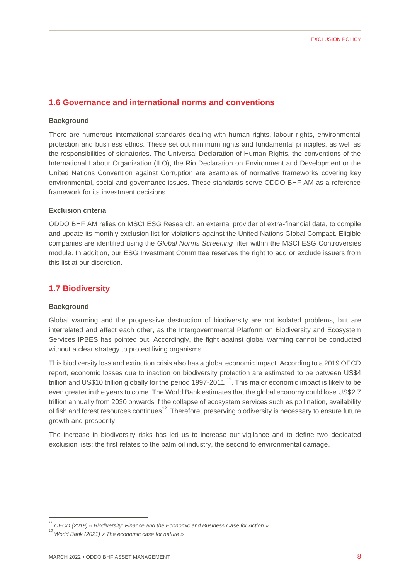#### **1.6 Governance and international norms and conventions**

#### **Background**

There are numerous international standards dealing with human rights, labour rights, environmental protection and business ethics. These set out minimum rights and fundamental principles, as well as the responsibilities of signatories. The Universal Declaration of Human Rights, the conventions of the International Labour Organization (ILO), the Rio Declaration on Environment and Development or the United Nations Convention against Corruption are examples of normative frameworks covering key environmental, social and governance issues. These standards serve ODDO BHF AM as a reference framework for its investment decisions.

#### **Exclusion criteria**

ODDO BHF AM relies on MSCI ESG Research, an external provider of extra-financial data, to compile and update its monthly exclusion list for violations against the United Nations Global Compact. Eligible companies are identified using the *Global Norms Screening* filter within the MSCI ESG Controversies module. In addition, our ESG Investment Committee reserves the right to add or exclude issuers from this list at our discretion.

#### **1.7 Biodiversity**

#### **Background**

Global warming and the progressive destruction of biodiversity are not isolated problems, but are interrelated and affect each other, as the Intergovernmental Platform on Biodiversity and Ecosystem Services IPBES has pointed out. Accordingly, the fight against global warming cannot be conducted without a clear strategy to protect living organisms.

This biodiversity loss and extinction crisis also has a global economic impact. According to a 2019 OECD report, economic losses due to inaction on biodiversity protection are estimated to be between US\$4 trillion and US\$10 trillion globally for the period 1997-2011<sup>11</sup>. This major economic impact is likely to be even greater in the years to come. The World Bank estimates that the global economy could lose US\$2.7 trillion annually from 2030 onwards if the collapse of ecosystem services such as pollination, availability of fish and forest resources continues<sup>12</sup>. Therefore, preserving biodiversity is necessary to ensure future growth and prosperity.

The increase in biodiversity risks has led us to increase our vigilance and to define two dedicated exclusion lists: the first relates to the palm oil industry, the second to environmental damage.

*<sup>11</sup> OECD (2019) « Biodiversity: Finance and the Economic and Business Case for Action »*

*<sup>12</sup> World Bank (2021) « The economic case for nature »*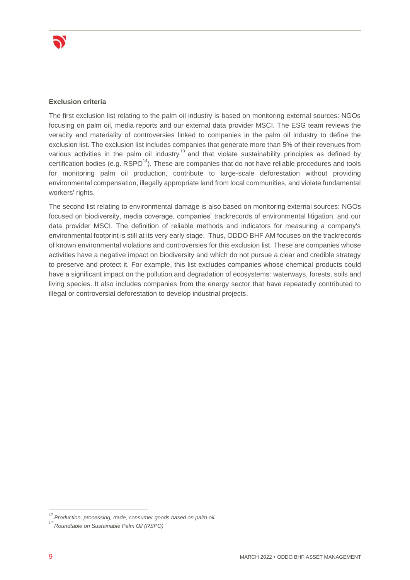

#### **Exclusion criteria**

The first exclusion list relating to the palm oil industry is based on monitoring external sources: NGOs focusing on palm oil, media reports and our external data provider MSCI. The ESG team reviews the veracity and materiality of controversies linked to companies in the palm oil industry to define the exclusion list. The exclusion list includes companies that generate more than 5% of their revenues from various activities in the palm oil industry<sup>13</sup> and that violate sustainability principles as defined by certification bodies (e.g.  $RSPO<sup>14</sup>$ ). These are companies that do not have reliable procedures and tools for monitoring palm oil production, contribute to large-scale deforestation without providing environmental compensation, illegally appropriate land from local communities, and violate fundamental workers' rights.

The second list relating to environmental damage is also based on monitoring external sources: NGOs focused on biodiversity, media coverage, companies' trackrecords of environmental litigation, and our data provider MSCI. The definition of reliable methods and indicators for measuring a company's environmental footprint is still at its very early stage. Thus, ODDO BHF AM focuses on the trackrecords of known environmental violations and controversies for this exclusion list. These are companies whose activities have a negative impact on biodiversity and which do not pursue a clear and credible strategy to preserve and protect it. For example, this list excludes companies whose chemical products could have a significant impact on the pollution and degradation of ecosystems: waterways, forests, soils and living species. It also includes companies from the energy sector that have repeatedly contributed to illegal or controversial deforestation to develop industrial projects.

*<sup>13</sup> Production, processing, trade, consumer goods based on palm oil.*

*<sup>14</sup> Roundtable on Sustainable Palm Oil (RSPO)*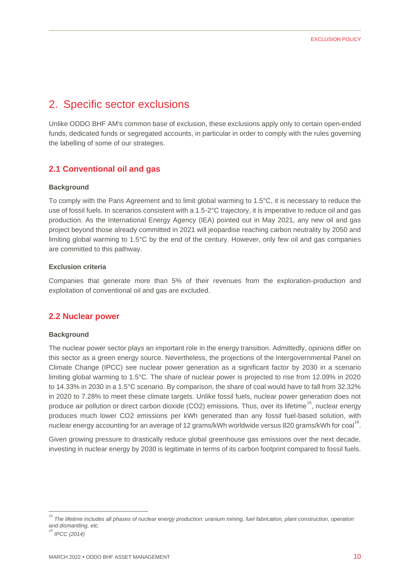# 2. Specific sector exclusions

Unlike ODDO BHF AM's common base of exclusion, these exclusions apply only to certain open-ended funds, dedicated funds or segregated accounts, in particular in order to comply with the rules governing the labelling of some of our strategies.

### **2.1 Conventional oil and gas**

#### **Background**

To comply with the Paris Agreement and to limit global warming to 1.5°C, it is necessary to reduce the use of fossil fuels. In scenarios consistent with a 1.5-2°C trajectory, it is imperative to reduce oil and gas production. As the International Energy Agency (IEA) pointed out in May 2021, any new oil and gas project beyond those already committed in 2021 will jeopardise reaching carbon neutrality by 2050 and limiting global warming to 1.5°C by the end of the century. However, only few oil and gas companies are committed to this pathway.

#### **Exclusion criteria**

Companies that generate more than 5% of their revenues from the exploration-production and exploitation of conventional oil and gas are excluded.

#### **2.2 Nuclear power**

#### **Background**

The nuclear power sector plays an important role in the energy transition. Admittedly, opinions differ on this sector as a green energy source. Nevertheless, the projections of the Intergovernmental Panel on Climate Change (IPCC) see nuclear power generation as a significant factor by 2030 in a scenario limiting global warming to 1.5°C. The share of nuclear power is projected to rise from 12.09% in 2020 to 14.33% in 2030 in a 1.5°C scenario. By comparison, the share of coal would have to fall from 32.32% in 2020 to 7.28% to meet these climate targets. Unlike fossil fuels, nuclear power generation does not produce air pollution or direct carbon dioxide (CO2) emissions. Thus, over its lifetime<sup>15</sup>, nuclear energy produces much lower CO2 emissions per kWh generated than any fossil fuel-based solution, with nuclear energy accounting for an average of 12 grams/kWh worldwide versus 820 grams/kWh for coal $^{16}$ .

Given growing pressure to drastically reduce global greenhouse gas emissions over the next decade, investing in nuclear energy by 2030 is legitimate in terms of its carbon footprint compared to fossil fuels.

*<sup>15</sup> The lifetime includes all phases of nuclear energy production: uranium mining, fuel fabrication, plant construction, operation and dismantling, etc.*

*<sup>16</sup> IPCC (2014)*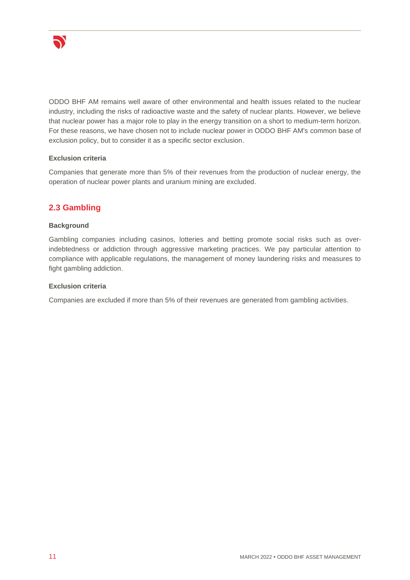

ODDO BHF AM remains well aware of other environmental and health issues related to the nuclear industry, including the risks of radioactive waste and the safety of nuclear plants. However, we believe that nuclear power has a major role to play in the energy transition on a short to medium-term horizon. For these reasons, we have chosen not to include nuclear power in ODDO BHF AM's common base of exclusion policy, but to consider it as a specific sector exclusion.

#### **Exclusion criteria**

Companies that generate more than 5% of their revenues from the production of nuclear energy, the operation of nuclear power plants and uranium mining are excluded.

# **2.3 Gambling**

#### **Background**

Gambling companies including casinos, lotteries and betting promote social risks such as overindebtedness or addiction through aggressive marketing practices. We pay particular attention to compliance with applicable regulations, the management of money laundering risks and measures to fight gambling addiction.

#### **Exclusion criteria**

Companies are excluded if more than 5% of their revenues are generated from gambling activities.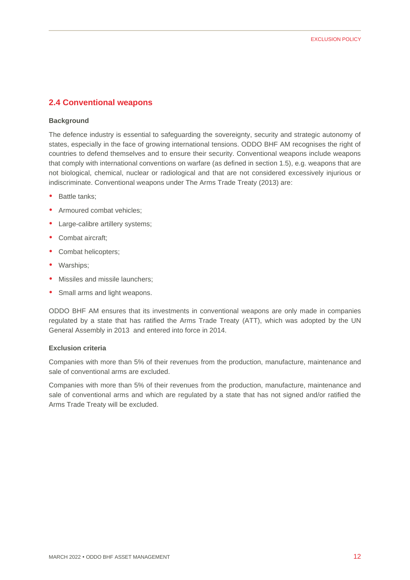### **2.4 Conventional weapons**

#### **Background**

The defence industry is essential to safeguarding the sovereignty, security and strategic autonomy of states, especially in the face of growing international tensions. ODDO BHF AM recognises the right of countries to defend themselves and to ensure their security. Conventional weapons include weapons that comply with international conventions on warfare (as defined in section 1.5), e.g. weapons that are not biological, chemical, nuclear or radiological and that are not considered excessively injurious or indiscriminate. Conventional weapons under The Arms Trade Treaty (2013) are:

- Battle tanks;
- Armoured combat vehicles;
- Large-calibre artillery systems:
- Combat aircraft;
- Combat helicopters;
- Warships;
- Missiles and missile launchers;
- Small arms and light weapons.

ODDO BHF AM ensures that its investments in conventional weapons are only made in companies regulated by a state that has ratified the Arms Trade Treaty (ATT), which was adopted by the UN General Assembly in 2013 and entered into force in 2014.

#### **Exclusion criteria**

Companies with more than 5% of their revenues from the production, manufacture, maintenance and sale of conventional arms are excluded.

Companies with more than 5% of their revenues from the production, manufacture, maintenance and sale of conventional arms and which are regulated by a state that has not signed and/or ratified the Arms Trade Treaty will be excluded.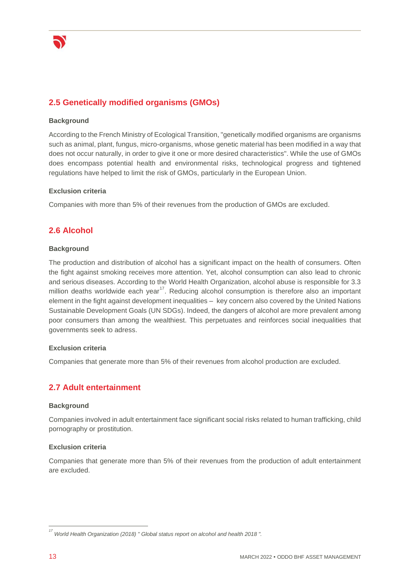

# **2.5 Genetically modified organisms (GMOs)**

#### **Background**

According to the French Ministry of Ecological Transition, "genetically modified organisms are organisms such as animal, plant, fungus, micro-organisms, whose genetic material has been modified in a way that does not occur naturally, in order to give it one or more desired characteristics". While the use of GMOs does encompass potential health and environmental risks, technological progress and tightened regulations have helped to limit the risk of GMOs, particularly in the European Union.

#### **Exclusion criteria**

Companies with more than 5% of their revenues from the production of GMOs are excluded.

## **2.6 Alcohol**

#### **Background**

The production and distribution of alcohol has a significant impact on the health of consumers. Often the fight against smoking receives more attention. Yet, alcohol consumption can also lead to chronic and serious diseases. According to the World Health Organization, alcohol abuse is responsible for 3.3 million deaths worldwide each year<sup>17</sup>. Reducing alcohol consumption is therefore also an important element in the fight against development inequalities – key concern also covered by the United Nations Sustainable Development Goals (UN SDGs). Indeed, the dangers of alcohol are more prevalent among poor consumers than among the wealthiest. This perpetuates and reinforces social inequalities that governments seek to adress.

#### **Exclusion criteria**

Companies that generate more than 5% of their revenues from alcohol production are excluded.

## **2.7 Adult entertainment**

#### **Background**

Companies involved in adult entertainment face significant social risks related to human trafficking, child pornography or prostitution.

#### **Exclusion criteria**

Companies that generate more than 5% of their revenues from the production of adult entertainment are excluded.

*<sup>17</sup> World Health Organization (2018) " Global status report on alcohol and health 2018 ".*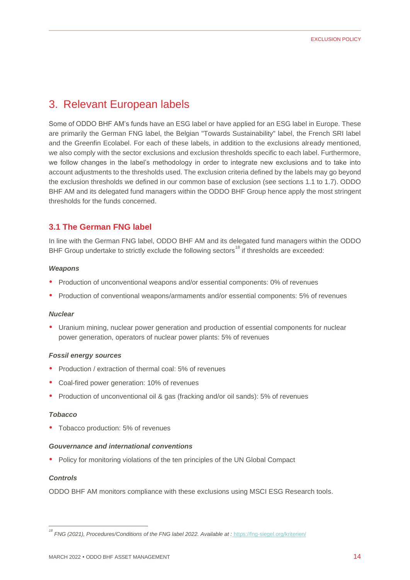# 3. Relevant European labels

Some of ODDO BHF AM's funds have an ESG label or have applied for an ESG label in Europe. These are primarily the German FNG label, the Belgian "Towards Sustainability" label, the French SRI label and the Greenfin Ecolabel. For each of these labels, in addition to the exclusions already mentioned, we also comply with the sector exclusions and exclusion thresholds specific to each label. Furthermore, we follow changes in the label's methodology in order to integrate new exclusions and to take into account adjustments to the thresholds used. The exclusion criteria defined by the labels may go beyond the exclusion thresholds we defined in our common base of exclusion (see sections 1.1 to 1.7). ODDO BHF AM and its delegated fund managers within the ODDO BHF Group hence apply the most stringent thresholds for the funds concerned.

### **3.1 The German FNG label**

In line with the German FNG label, ODDO BHF AM and its delegated fund managers within the ODDO BHF Group undertake to strictly exclude the following sectors<sup>18</sup> if thresholds are exceeded:

#### *Weapons*

- Production of unconventional weapons and/or essential components: 0% of revenues
- Production of conventional weapons/armaments and/or essential components: 5% of revenues

#### *Nuclear*

 Uranium mining, nuclear power generation and production of essential components for nuclear power generation, operators of nuclear power plants: 5% of revenues

#### *Fossil energy sources*

- Production / extraction of thermal coal: 5% of revenues
- Coal-fired power generation: 10% of revenues
- Production of unconventional oil & gas (fracking and/or oil sands): 5% of revenues

#### *Tobacco*

• Tobacco production: 5% of revenues

#### *Gouvernance and international conventions*

Policy for monitoring violations of the ten principles of the UN Global Compact

#### *Controls*

ODDO BHF AM monitors compliance with these exclusions using MSCI ESG Research tools.

*<sup>18</sup> FNG (2021), Procedures/Conditions of the FNG label 2022. Available at :* <https://fng-siegel.org/kriterien/>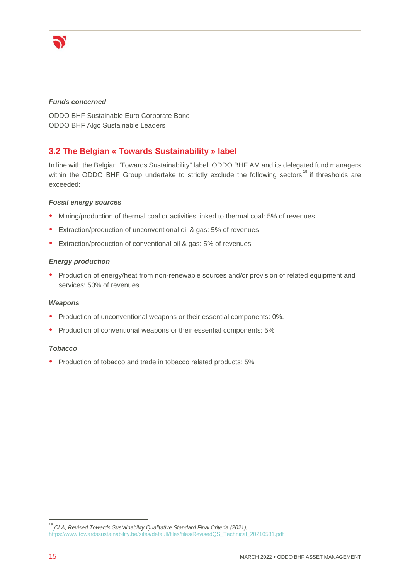

#### *Funds concerned*

ODDO BHF Sustainable Euro Corporate Bond ODDO BHF Algo Sustainable Leaders

# **3.2 The Belgian « Towards Sustainability » label**

In line with the Belgian "Towards Sustainability" label, ODDO BHF AM and its delegated fund managers within the ODDO BHF Group undertake to strictly exclude the following sectors<sup>19</sup> if thresholds are exceeded:

#### *Fossil energy sources*

- Mining/production of thermal coal or activities linked to thermal coal: 5% of revenues
- Extraction/production of unconventional oil & gas: 5% of revenues
- Extraction/production of conventional oil & gas: 5% of revenues

#### *Energy production*

• Production of energy/heat from non-renewable sources and/or provision of related equipment and services: 50% of revenues

#### *Weapons*

- Production of unconventional weapons or their essential components: 0%.
- Production of conventional weapons or their essential components: 5%

#### *Tobacco*

• Production of tobacco and trade in tobacco related products: 5%

*<sup>19</sup> [C](https://www.towardssustainability.be/sites/default/files/files/RevisedQS_Technical_20210531.pdf)LA, Revised Towards Sustainability Qualitative Standard Final Criteria (2021),*  [https://www.towardssustainability.be/sites/default/files/files/RevisedQS\\_Technical\\_20210531.pdf](https://www.towardssustainability.be/sites/default/files/files/RevisedQS_Technical_20210531.pdf)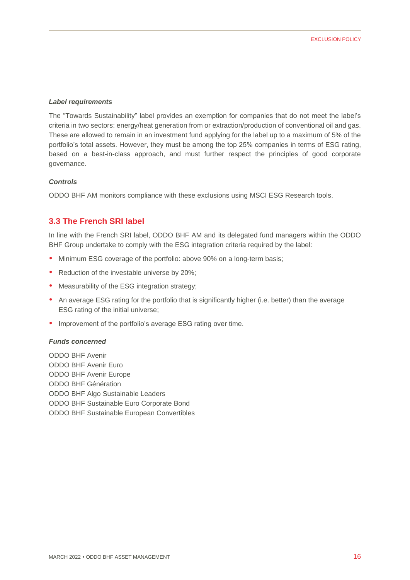#### *Label requirements*

The "Towards Sustainability" label provides an exemption for companies that do not meet the label's criteria in two sectors: energy/heat generation from or extraction/production of conventional oil and gas. These are allowed to remain in an investment fund applying for the label up to a maximum of 5% of the portfolio's total assets. However, they must be among the top 25% companies in terms of ESG rating, based on a best-in-class approach, and must further respect the principles of good corporate governance.

#### *Controls*

ODDO BHF AM monitors compliance with these exclusions using MSCI ESG Research tools.

## **3.3 The French SRI label**

In line with the French SRI label, ODDO BHF AM and its delegated fund managers within the ODDO BHF Group undertake to comply with the ESG integration criteria required by the label:

- Minimum ESG coverage of the portfolio: above 90% on a long-term basis;
- Reduction of the investable universe by 20%;
- Measurability of the ESG integration strategy;
- An average ESG rating for the portfolio that is significantly higher (i.e. better) than the average ESG rating of the initial universe;
- Improvement of the portfolio's average ESG rating over time.

#### *Funds concerned*

ODDO BHF Avenir ODDO BHF Avenir Euro ODDO BHF Avenir Europe ODDO BHF Génération ODDO BHF Algo Sustainable Leaders ODDO BHF Sustainable Euro Corporate Bond ODDO BHF Sustainable European Convertibles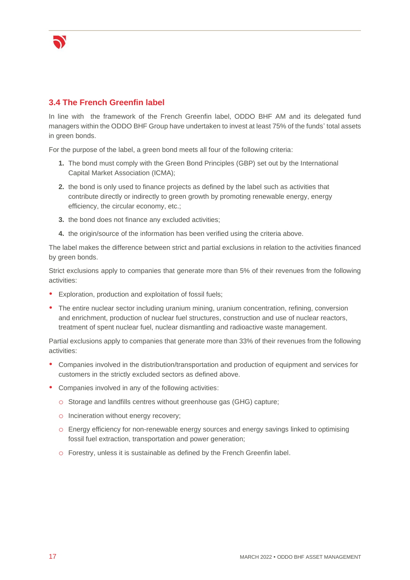

# **3.4 The French Greenfin label**

In line with the framework of the French Greenfin label, ODDO BHF AM and its delegated fund managers within the ODDO BHF Group have undertaken to invest at least 75% of the funds' total assets in green bonds.

For the purpose of the label, a green bond meets all four of the following criteria:

- **1.** The bond must comply with the Green Bond Principles (GBP) set out by the International Capital Market Association (ICMA);
- **2.** the bond is only used to finance projects as defined by the label such as activities that contribute directly or indirectly to green growth by promoting renewable energy, energy efficiency, the circular economy, etc.;
- **3.** the bond does not finance any excluded activities;
- **4.** the origin/source of the information has been verified using the criteria above.

The label makes the difference between strict and partial exclusions in relation to the activities financed by green bonds.

Strict exclusions apply to companies that generate more than 5% of their revenues from the following activities:

- Exploration, production and exploitation of fossil fuels;
- The entire nuclear sector including uranium mining, uranium concentration, refining, conversion and enrichment, production of nuclear fuel structures, construction and use of nuclear reactors, treatment of spent nuclear fuel, nuclear dismantling and radioactive waste management.

Partial exclusions apply to companies that generate more than 33% of their revenues from the following activities:

- Companies involved in the distribution/transportation and production of equipment and services for customers in the strictly excluded sectors as defined above.
- Companies involved in any of the following activities:
	- o Storage and landfills centres without greenhouse gas (GHG) capture;
	- o Incineration without energy recovery;
	- o Energy efficiency for non-renewable energy sources and energy savings linked to optimising fossil fuel extraction, transportation and power generation;
	- o Forestry, unless it is sustainable as defined by the French Greenfin label.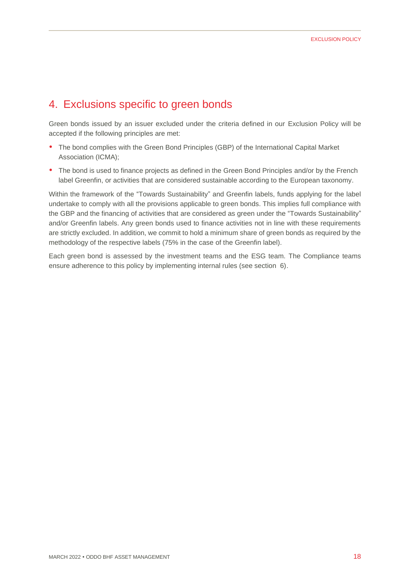# 4. Exclusions specific to green bonds

Green bonds issued by an issuer excluded under the criteria defined in our Exclusion Policy will be accepted if the following principles are met:

- The bond complies with the Green Bond Principles (GBP) of the International Capital Market Association (ICMA);
- The bond is used to finance projects as defined in the Green Bond Principles and/or by the French label Greenfin, or activities that are considered sustainable according to the European taxonomy.

Within the framework of the "Towards Sustainability" and Greenfin labels, funds applying for the label undertake to comply with all the provisions applicable to green bonds. This implies full compliance with the GBP and the financing of activities that are considered as green under the "Towards Sustainability" and/or Greenfin labels. Any green bonds used to finance activities not in line with these requirements are strictly excluded. In addition, we commit to hold a minimum share of green bonds as required by the methodology of the respective labels (75% in the case of the Greenfin label).

Each green bond is assessed by the investment teams and the ESG team. The Compliance teams ensure adherence to this policy by implementing internal rules (see section 6).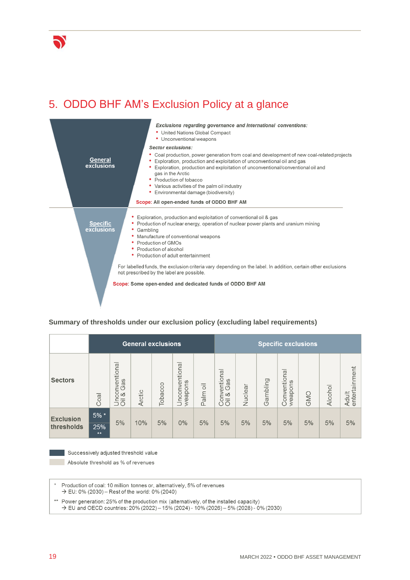

# 5. ODDO BHF AM's Exclusion Policy at a glance



### **Summary of thresholds under our exclusion policy (excluding label requirements)**

|                                | <b>General exclusions</b>      |                                             |        |         |                           |                                       | <b>Specific exclusions</b>                     |         |          |                         |     |         |                        |
|--------------------------------|--------------------------------|---------------------------------------------|--------|---------|---------------------------|---------------------------------------|------------------------------------------------|---------|----------|-------------------------|-----|---------|------------------------|
| <b>Sectors</b>                 | Coal                           | conventional<br>Gas<br>∞<br>$\bar{=}$<br>うつ | Arctic | Tobacco | Unconventional<br>weapons | $\overline{\overline{\circ}}$<br>Palm | `onventional<br><sup>)i  &amp; Gas</sup><br>ŌΟ | Nuclear | Gambling | Conventional<br>weapons | GMO | Alcohol | Adult<br>entertainment |
| <b>Exclusion</b><br>thresholds | $5\% *$<br>25%<br>$\star\star$ | 5%                                          | 10%    | 5%      | $0\%$                     | 5%                                    | 5%                                             | 5%      | 5%       | 5%                      | 5%  | 5%      | 5%                     |

Successively adjusted threshold value

Absolute threshold as % of revenues

Production of coal: 10 million tonnes or, alternatively, 5% of revenues  $\rightarrow$  EU: 0% (2030) – Rest of the world: 0% (2040)

\*\* Power generation: 25% of the production mix (alternatively, of the installed capacity) → EU and OECD countries: 20% (2022) - 15% (2024) - 10% (2026) - 5% (2028) - 0% (2030)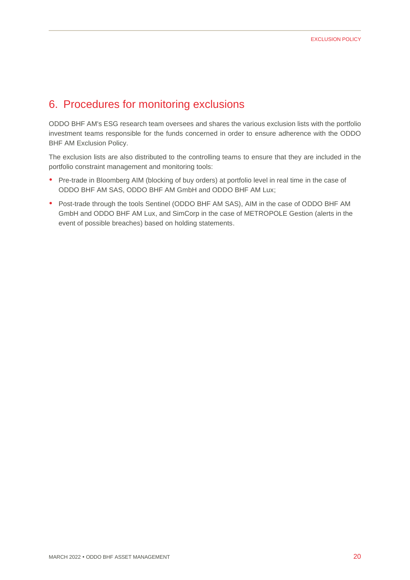# 6. Procedures for monitoring exclusions

ODDO BHF AM's ESG research team oversees and shares the various exclusion lists with the portfolio investment teams responsible for the funds concerned in order to ensure adherence with the ODDO BHF AM Exclusion Policy.

The exclusion lists are also distributed to the controlling teams to ensure that they are included in the portfolio constraint management and monitoring tools:

- Pre-trade in Bloomberg AIM (blocking of buy orders) at portfolio level in real time in the case of ODDO BHF AM SAS, ODDO BHF AM GmbH and ODDO BHF AM Lux;
- Post-trade through the tools Sentinel (ODDO BHF AM SAS), AIM in the case of ODDO BHF AM GmbH and ODDO BHF AM Lux, and SimCorp in the case of METROPOLE Gestion (alerts in the event of possible breaches) based on holding statements.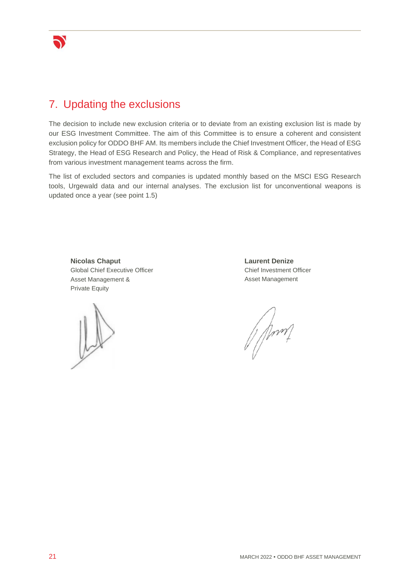

# 7. Updating the exclusions

The decision to include new exclusion criteria or to deviate from an existing exclusion list is made by our ESG Investment Committee. The aim of this Committee is to ensure a coherent and consistent exclusion policy for ODDO BHF AM. Its members include the Chief Investment Officer, the Head of ESG Strategy, the Head of ESG Research and Policy, the Head of Risk & Compliance, and representatives from various investment management teams across the firm.

The list of excluded sectors and companies is updated monthly based on the MSCI ESG Research tools, Urgewald data and our internal analyses. The exclusion list for unconventional weapons is updated once a year (see point 1.5)

**Nicolas Chaput** Global Chief Executive Officer Asset Management & Private Equity

**Laurent Denize**  Chief Investment Officer Asset Management

When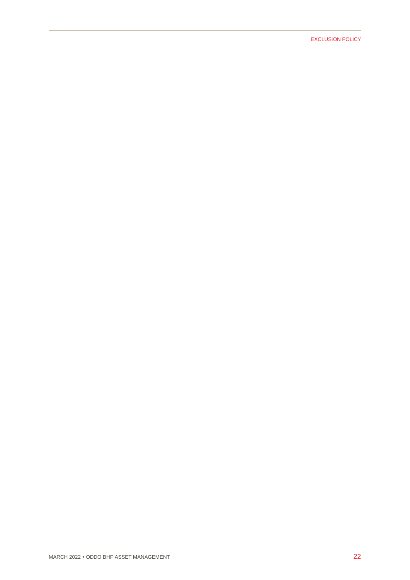EXCLUSION POLICY